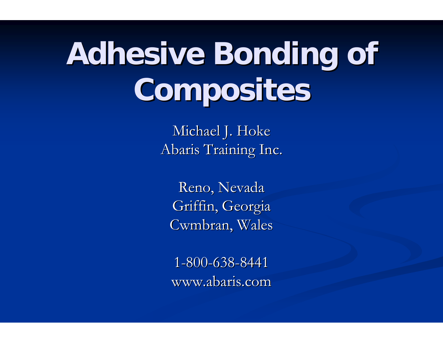# **Adhesive Bonding of Composites Composites**

Michael J. Hoke Abaris Training Inc.

Reno, Nevada Griffin, Georgia Cwmbran, Wales

1 -800 -638 -8441 www.abaris.com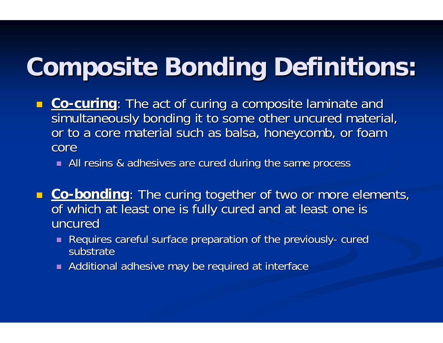## **Composite Bonding Definitions: Composite Bonding Definitions:**

- $\mathcal{L}$ **- Co-curing**: The act of curing a composite laminate and simultaneously bonding it to some other uncured material, or to a core material such as balsa, honeycomb, or foam core
	- **All resins & adhesives are cured during the same process**
- **<u>Co-bonding</u>: The curing together of two or more elements,** of which at least one is fully cured and at least one is uncured
	- $\blacksquare$  Requires careful surface preparation of the previously - cured substrate
	- $\blacksquare$  Additional adhesive may be required at interface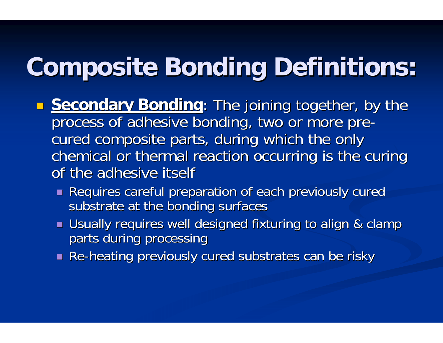## **Composite Bonding Definitions: Composite Bonding Definitions:**

- **Secondary Bonding**: The joining together, by the process of adhesive bonding, two or more pre cured composite parts, during which the only chemical or thermal reaction occurring is the curing of the adhesive itself
	- Requires careful preparation of each previously cured substrate at the bonding surfaces
	- $\blacksquare$  Usually requires well designed fixturing to align & clamp parts during processing
	- $\blacksquare$  Re-heating previously cured substrates can be risky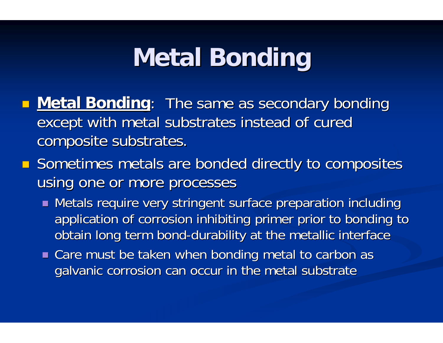### **Metal Bonding Metal Bonding**

- **Metal Bonding**: The same as secondary bonding except with metal substrates instead of cured composite substrates.
- **Sometimes metals are bonded directly to composites** using one or more processes
	- $\blacksquare$  Metals require very stringent surface preparation including application of corrosion inhibiting primer prior to bonding to obtain long term bond-durability at the metallic interface
	- $\blacksquare$  Care must be taken when bonding metal to carbon as galvanic corrosion can occur in the metal substrate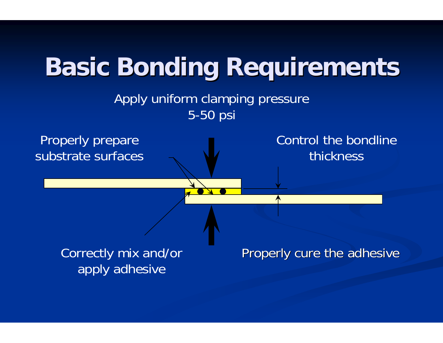

#### Apply uniform clamping pressure 5-50 psi

Properly prepare substrate surfaces Control the bondline thickness

Correctly mix and/or apply adhesive

Properly cure the adhesive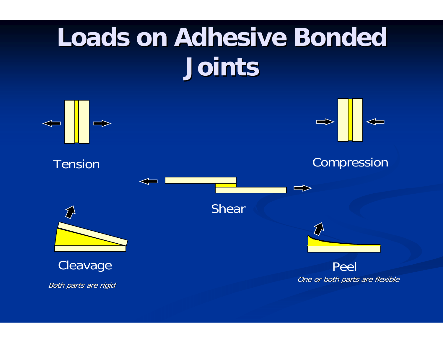# **Loads on Adhesive Bonded Loads on Adhesive Bonded Joints**

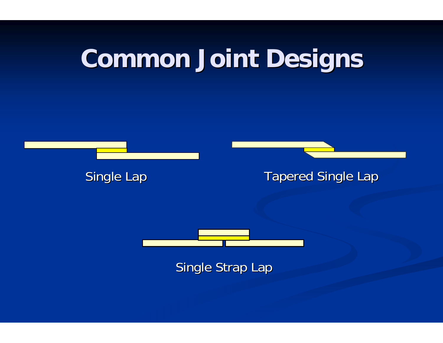## **Common Joint Designs Common Joint Designs**



Single Lap Tapered Single Lap



Single Strap Lap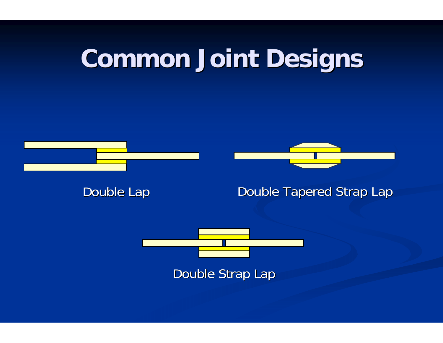## **Common Joint Designs Common Joint Designs**



Double Lap



#### Double Tapered Strap Lap



Double Strap Lap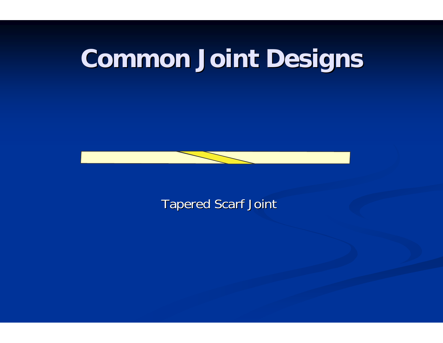## **Common Joint Designs Common Joint Designs**



**Tapered Scarf Joint**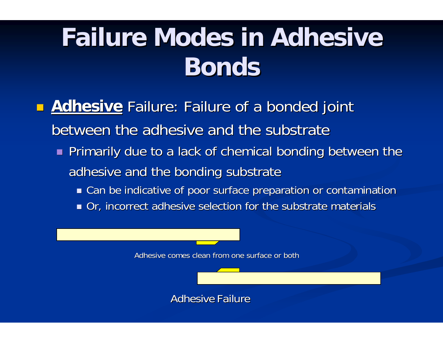## **Failure Modes in Adhesive Bonds**

- **Adhesive** Failure: Failure of a bonded joint between the adhesive and the substrate
	- **Primarily due to a lack of chemical bonding between the** adhesive and the bonding substrate
		- $\blacksquare$  Can be indicative of poor surface preparation or contamination
		- Or, incorrect adhesive selection for the substrate materials

Adhesive comes clean from one surface or both

Adhesive Failure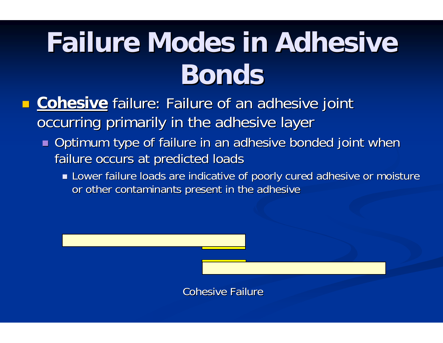# **Failure Modes in Adhesive Bonds**

- $\blacksquare$ **E** Cohesive failure: Failure of an adhesive joint occurring primarily in the adhesive layer
	- $\blacksquare$  Optimum type of failure in an adhesive bonded joint when failure occurs at predicted loads
		- $\blacksquare$  Lower failure loads are indicative of poorly cured adhesive or moisture or other contaminants present in the adhesive

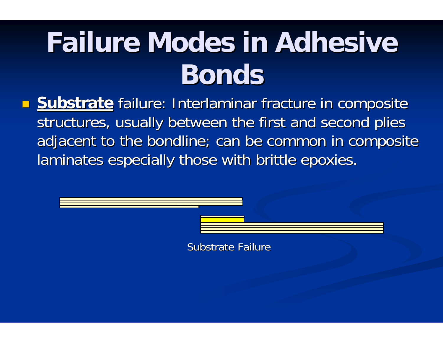# **Failure Modes in Adhesive Bonds**

**Substrate** failure: Interlaminar fracture in composite structures, usually between the first and second plies adjacent to the bondline; can be common in composite laminates especially those with brittle epoxies.

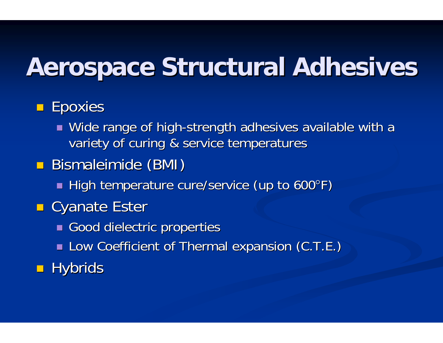### **Aerospace Structural Adhesives**

#### **Epoxies**

- $\blacksquare$  Wide range of high-strength adhesives available with a variety of curing & service temperatures
- **Bismaleimide (BMI)** 
	- **High temperature cure/service (up to 600°F) I**
- **E** Cyanate Ester
	- Good dielectric properties
	- **Low Coefficient of Thermal expansion (C.T.E.)**
- $\blacksquare$  Hybrids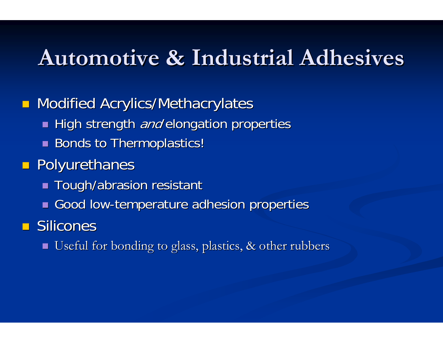#### **Automotive & Industrial Adhesives Automotive & Industrial Adhesives**

**Modified Acrylics/Methacrylates** 

- High strength *and* elongation properties
- **Bonds to Thermoplastics! Bonds to Thermoplastics!**

#### **Polyurethanes**

- $\blacksquare$  Tough/abrasion resistant
- Good low-temperature adhesion properties

 $\blacksquare$  Silicones

 $\blacksquare$  Useful for bonding to glass, plastics, & other rubbers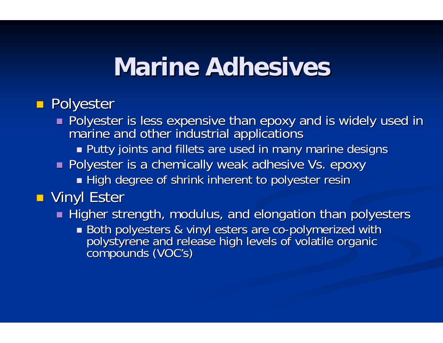#### **Marine Adhesives Marine Adhesives**

#### **Reading Polyester**

- Polyester is less expensive than epoxy and is widely used in<br>Polyester is less expensive than epoxy and is widely used in marine and other industrial applications
	- $\blacksquare$  Putty joints and fillets are used in many marine designs
- $\blacksquare$  Polyester is a chemically weak adhesive Vs. epoxy
	- $\blacksquare$  High degree of shrink inherent to polyester resin

#### **D** Vinyl Ester

- $\blacksquare$  Higher strength, modulus, and elongation than polyesters
	- Both polyesters & vinyl esters are co polystyrene and release high levels of volatile organic<br>compounds ( VOC's)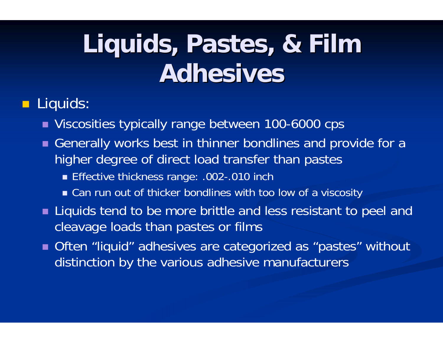## Liquids, Pastes, & Film **Adhesives Adhesives**

#### $\blacksquare$ Liquids:

- Viscosities typically range between 100-6000 cps
- Generally works best in thinner bondlines and provide for a higher degree of direct load transfer than pastes
	- Effective thickness range: .002-.010 inch
	- Can run out of thicker bondlines with too low of a viscosity
- **Liquids tend to be more brittle and less resistant to peel and** cleavage loads than pastes or films
- Often "liquid" adhesives are categorized as "pastes" without distinction by the various adhesive manufacturers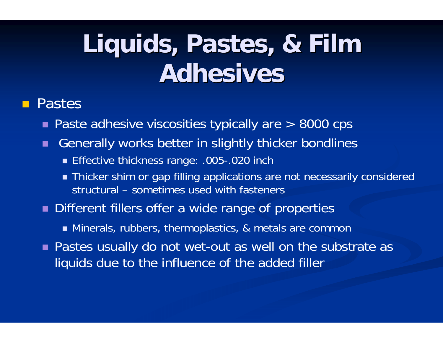## Liquids, Pastes, & Film **Adhesives Adhesives**

#### Pastes

- Paste adhesive viscosities typically are > 8000 cps
- п Generally works better in slightly thicker bondlines
	- Effective thickness range: .005-.020 inch
	- Thicker shim or gap filling applications are not necessarily considered structural – sometimes used with fasteners
- **Different fillers offer a wide range of properties** 
	- Minerals, rubbers, thermoplastics, & metals are common
- Pastes usually do not wet-out as well on the substrate as liquids due to the influence of the added filler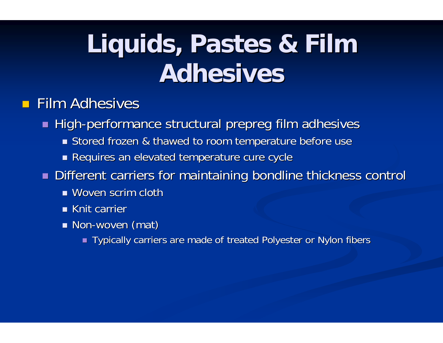# Liquids, Pastes & Film **Adhesives Adhesives**

#### $\blacksquare$  Film Adhesives

■ High-performance structural prepreg film adhesives

- **S** Stored frozen & thawed to room temperature before use
- $\blacksquare$  Requires an elevated temperature cure cycle
- $\blacksquare$  Different carriers for maintaining bondline thickness control
	- $\blacksquare$  Woven scrim cloth
	- **EXANCE Knit carrier** Knit Carrier
	- Non-woven (mat)
		- **Typically carriers are made of treated Polyester or Nylon fibers Theody**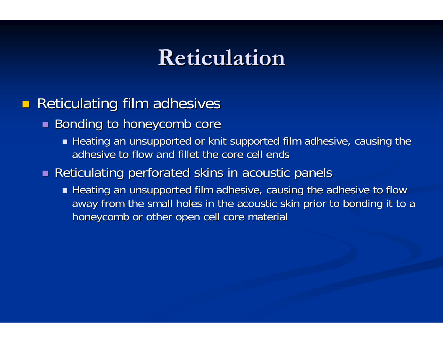#### **Reticulation Reticulation**

#### $\blacksquare$ Reticulating film adhesives

- $\blacksquare$  Bonding to honeycomb core
	- $\blacksquare$  Heating an unsupported or knit supported film adhesive, causing the adhesive to flow and fillet the core cell ends

#### $\blacksquare$  Reticulating perforated skins in acoustic panels

 $\blacksquare$  Heating an unsupported film adhesive, causing the adhesive to flow away from the small holes in the acoustic skin prior to bonding it to a honeycomb or other open cell core material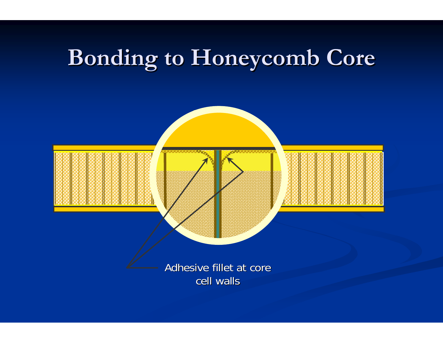## **Bonding to Honeycomb Core Bonding to Honeycomb Core**

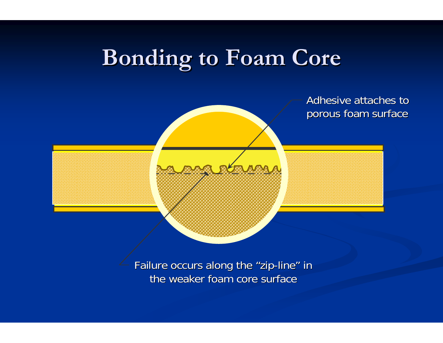#### **Bonding to Foam Core Bonding to Foam Core**

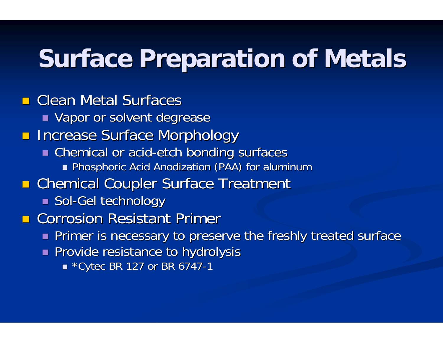### **Surface Preparation of Metals**

 $\blacksquare$  Clean Metal Surfaces  $\blacksquare$  Vapor or solvent degrease **REDENSIGNAL Increase Surface Morphology**  $\blacksquare$  Chemical or acid-etch bonding surfaces Phosphoric Acid Anodization (PAA) for aluminum Phosphoric Acid Anodization (PAA) for aluminum **E** Chemical Coupler Surface Treatment  $\blacksquare$  Sol-Gel technology **E** Corrosion Resistant Primer  $\blacksquare$  Primer is necessary to preserve the freshly treated surface **Provide resistance to hydrolysis** 

 $\blacksquare$  \*Cytec BR 127 or BR 6747 - 1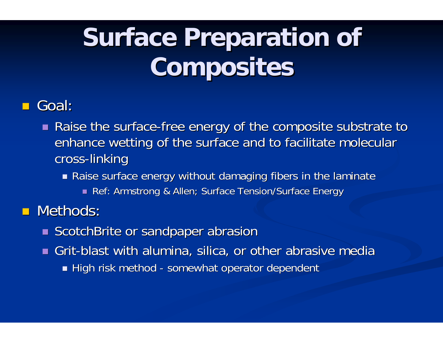# **Surface Preparation of Composites Composites**

#### Goal:

- $\blacksquare$  Raise the surface-free energy of the composite substrate to enhance wetting of the surface and to facilitate molecular cross-linking
	- $\blacksquare$  Raise surface energy without damaging fibers in the laminate
		- **Ref: Armstrong & Allen; Surface Tension/Surface Energy :**

#### **Nethods:**

- **ScotchBrite or sandpaper abrasion**
- $\blacksquare$  Grit-blast with alumina, silica, or other abrasive media  $\blacksquare$  High risk method - somewhat operator dependent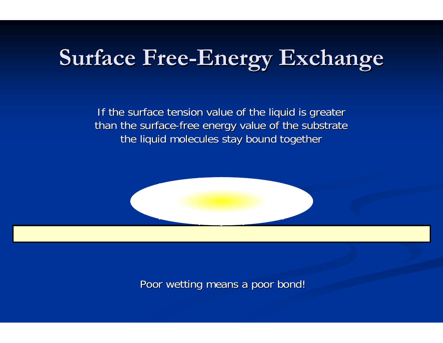#### **Surface Free Surface Free-Energy Exchange Energy Exchange**

If the surface tension value of the liquid is greater than the surface-free energy value of the substrate the liquid molecules stay bound together

Poor wetting means a poor bond!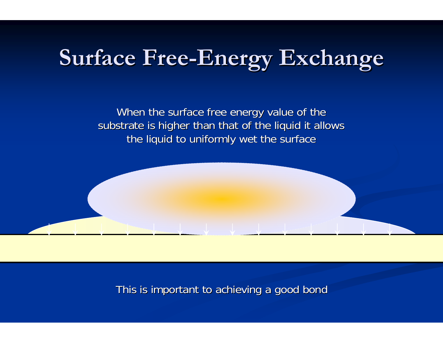#### **Surface Free Surface Free-Energy Exchange Energy Exchange**

When the surface free energy value of the substrate is higher than that of the liquid it allows the liquid to uniformly wet the surface

This is important to achieving a good bond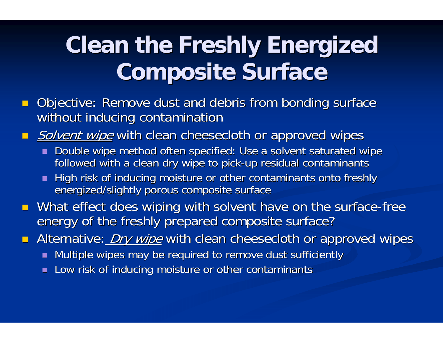### **Clean the Freshly Energized Composite Surface Composite Surface**

- $\blacksquare$ Objective: Remove dust and debris from bonding surface without inducing contamination
- $\blacksquare$ Solvent wipe with clean cheesecloth or approved wipes
	- $\textcolor{red}{\bullet}$  Double wipe method often specified: Use a solvent saturated wipe followed with a clean dry wipe to pick-up residual contaminants
	- $\blacksquare$  High risk of inducing moisture or other contaminants onto freshly energized/slightly porous composite surface
- $\blacksquare$ **D** What effect does wiping with solvent have on the surface-free energy of the freshly prepared composite surface?
- $\Box$ Alternative: *Dry wipe* with clean cheesecloth or approved wipes
	- $\blacksquare$  Multiple wipes may be required to remove dust sufficiently
	- **Low risk of inducing moisture or other contaminants**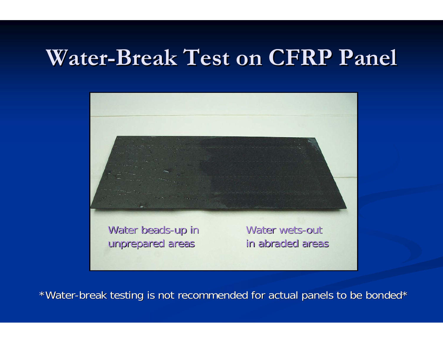#### Water-Break Test on CFRP Panel



\*Water-break testing is not recommended for actual panels to be bonded\*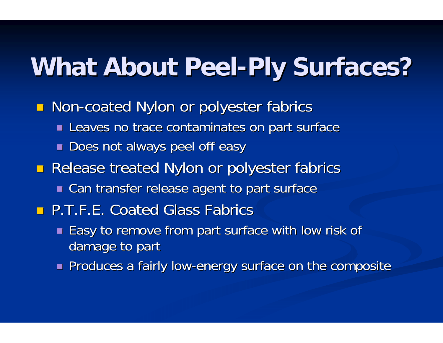## **What About Peel What About Peel -Ply Surfaces? Ply Surfaces?**

- **Non-coated Nylon or polyester fabrics** 
	- $\blacksquare$  Leaves no trace contaminates on part surface
	- $\blacksquare$  Does not always peel off easy
- **Release treated Nylon or polyester fabrics** 
	- $\blacksquare$  Can transfer release agent to part surface
- **P.T.F.E. Coated Glass Fabrics** 
	- $\blacksquare$  Easy to remove from part surface with low risk of damage to part
	- $\blacksquare$  Produces a fairly low-energy surface on the composite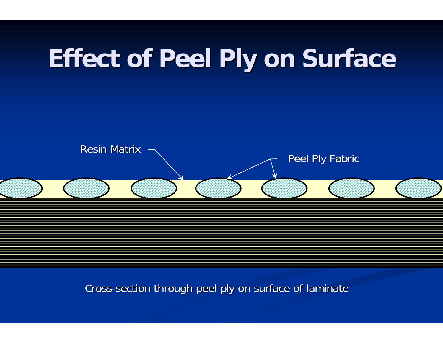## **Effect of Peel Ply on Surface Effect of Peel Ply on Surface**



#### Cross -section through peel ply on surface of laminate section through peel ply on surface of laminate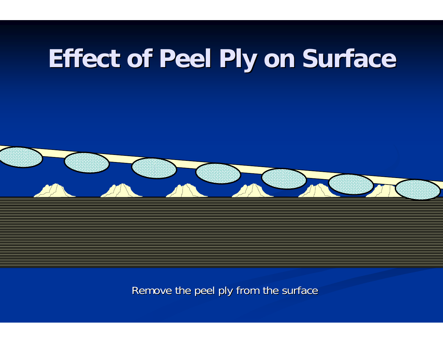## **Effect of Peel Ply on Surface Effect of Peel Ply on Surface**



Remove the peel ply from the surface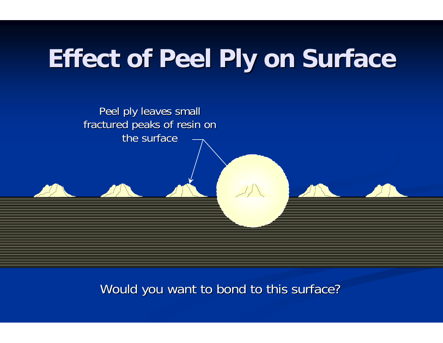## **Effect of Peel Ply on Surface Effect of Peel Ply on Surface**



Would you want to bond to this surface?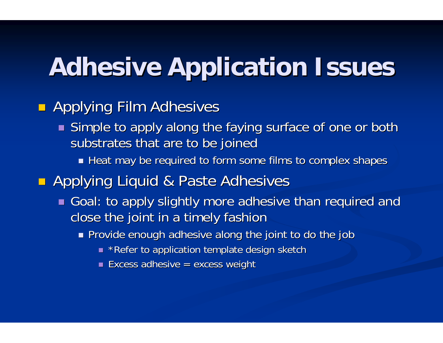## **Adhesive Application Issues Adhesive Application Issues**

#### **Rapplying Film Adhesives**

- $\blacksquare$  Simple to apply along the faying surface of one or both substrates that are to be joined
	- $\blacksquare$  Heat may be required to form some films to complex shapes

#### **Applying Liquid & Paste Adhesives**

- $\blacksquare$  Goal: to apply slightly more adhesive than required and close the joint in a timely fashion
	- $\blacksquare$  Provide enough adhesive along the joint to do the job
		- $\overline{\phantom{a}}$  \*Refer to application template design sketch
		- $\blacksquare$  Excess adhesive = excess weight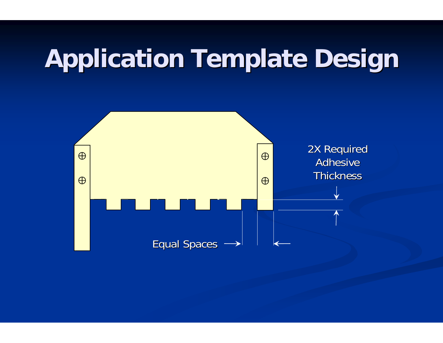## **Application Template Design Application Template Design**

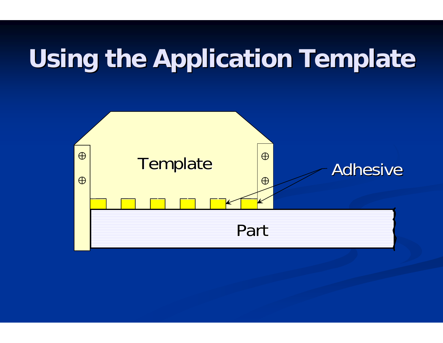## **Using the Application Template Using the Application Template**

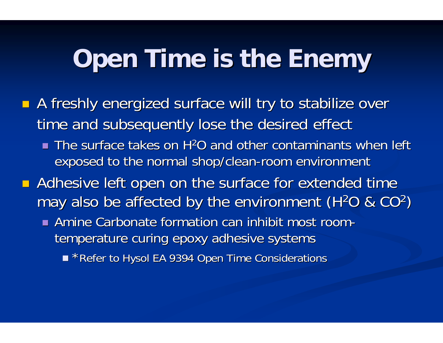### **Open Time is the Enemy Open Time is the Enemy**

- **A** freshly energized surface will try to stabilize over time and subsequently lose the desired effect
	- The surface takes on H<sup>2</sup>O and other contaminants when left exposed to the normal shop/clean-room environment
- **Adhesive left open on the surface for extended time** may also be affected by the environment (H $^2$ O & CO $^2$ )  $\,$ 
	- **Amine Carbonate formation can inhibit most room**temperature curing epoxy adhesive systems
		- \*Refer to Hysol EA 9394 Open Time Considerations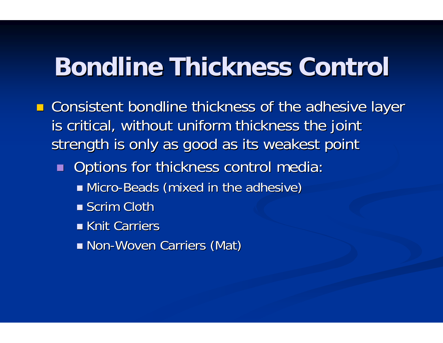### **Bondline Thickness Control Bondline Thickness Control**

- **E** Consistent bondline thickness of the adhesive layer is critical, without uniform thickness the joint strength is only as good as its weakest point
	- $\blacksquare$ Options for thickness control media:
		- Micro-Beads (mixed in the adhesive)
		- $\blacksquare$  Scrim Cloth
		- **Knit Carriers**
		- Non-Woven Carriers (Mat)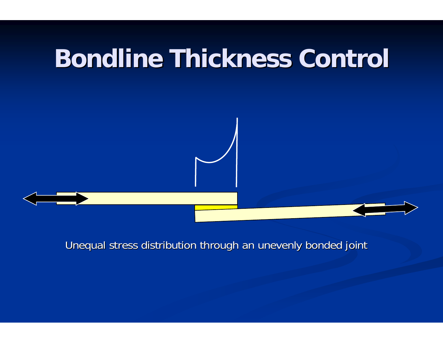### **Bondline Thickness Control Bondline Thickness Control**



Unequal stress distribution through an unevenly bonded joint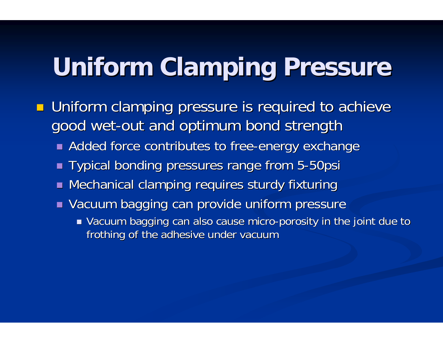## **Uniform Clamping Pressure**

- **Uniform clamping pressure is required to achieve** good wet-out and optimum bond strength
	- **E** Added force contributes to free-energy exchange
	- Typical bonding pressures range from 5-50psi
	- $\blacksquare$  Mechanical clamping requires sturdy fixturing
	- $\blacksquare$  Vacuum bagging can provide uniform pressure
		- $\blacksquare$  Vacuum bagging can also cause micro-porosity in the joint due to frothing of the adhesive under vacuum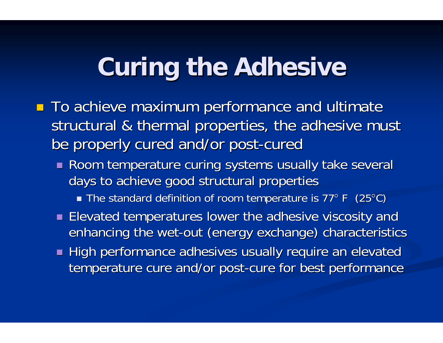### **Curing the Adhesive**

- To achieve maximum performance and ultimate structural & thermal properties, the adhesive must be properly cured and/or post-cured
	- Room temperature curing systems usually take several days to achieve good structural properties
		- $\blacksquare$  The standard definition of room temperature is 77° F (25°C) is
	- $\blacksquare$  Elevated temperatures lower the adhesive viscosity and enhancing the wet-out (energy exchange) characteristics
	- High performance adhesives usually require an elevated High performance adhesives usually require an elevated temperature cure and/or post-cure for best performance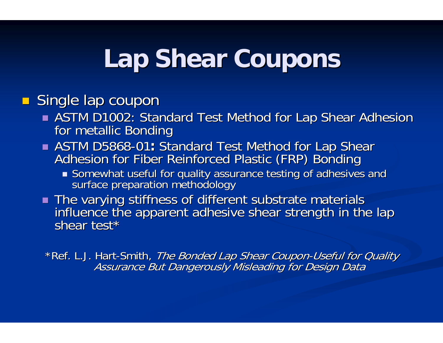### **Lap Shear Coupons Lap Shear Coupons**

#### **Single lap coupon**

- **ASTM D1002: Standard Test Method for Lap Shear Adhesion for metallic Bonding** for metallic bonding for metallic bonding for metallic bonding for metallic bonding for metallic Bonding for metallic Bonding for metallic bond
- $\blacksquare$  ASTM D5868 Adhesion for Fiber Reinforced Plastic (FRP) Bonding Adhesion for Fiber Reinforced Plastic (FRP) Bonding
	- Somewhat useful for quality assurance testing of adhesives and surface preparation methodology
- The varying stiffness of different substrate materials influence the apparent adhesive shear strength in the lap shear test\*

\*Ref. L.J. Hart Assurance But Dangerously Misleading for Design Data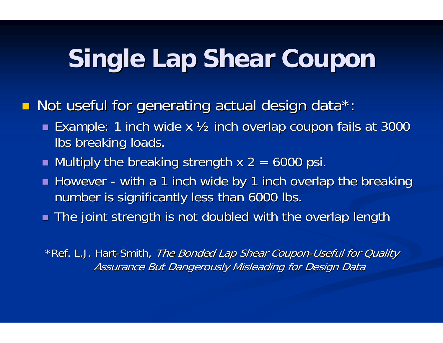## **Single Lap Shear Coupon Single Lap Shear Coupon**

 $\Box$ Not useful for generating actual design data\*:

- $\blacksquare$  Example: 1 inch wide x ½ inch overlap coupon fails at 3000 lbs breaking loads.
- $\blacksquare$  Multiply the breaking strength x 2 = 6000 psi.
- $\blacksquare$  However with a 1 inch wide by 1 inch overlap the breaking number is significantly less than 6000 lbs.
- $\blacksquare$  The joint strength is not doubled with the overlap length

\*Ref. L.J. Hart-Smith, *The Bonded Lap Shear Coupon-Useful for Quality* Assurance But Dangerously Misleading for Design Data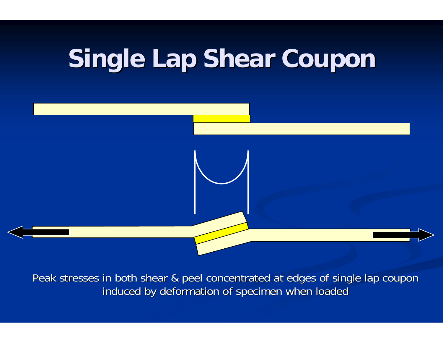## **Single Lap Shear Coupon Single Lap Shear Coupon**



Peak stresses in both shear & peel concentrated at edges of single lap coupon induced by deformation of specimen when loaded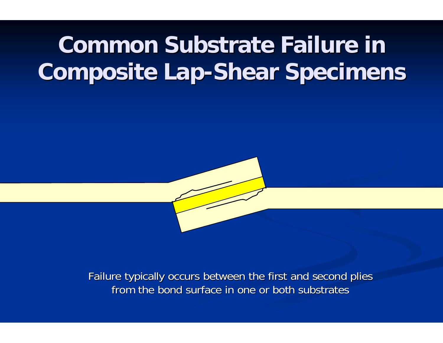#### **Common Substrate Failure in Composite Lap-Shear Specimens**



Failure typically occurs between the first and second plies from the bond surface in one or both substrates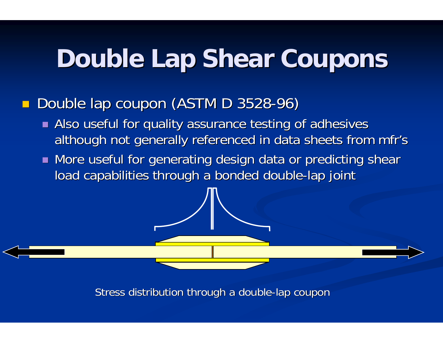## **Double Lap Shear Coupons Double Lap Shear Coupons**

#### $\Box$ **Double lap coupon (ASTM D 3528-96)**

- **Also useful for quality assurance testing of adhesives** although not generally referenced in data sheets from mfr's
- $\blacksquare$  More useful for generating design data or predicting shear load capabilities through a bonded double-lap joint

Stress distribution through a double-lap coupon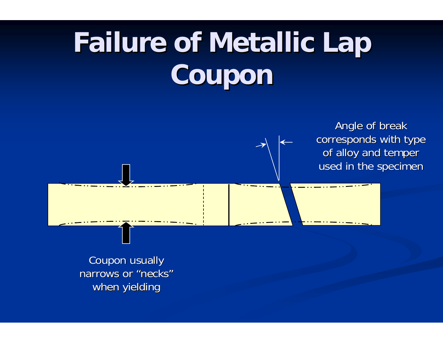# **Failure of Metallic Lap Failure of Metallic Lap Coupon**

Angle of break corresponds with type of alloy and temper used in the specimen

Coupon usually Coupon usually narrows or "necks "when yielding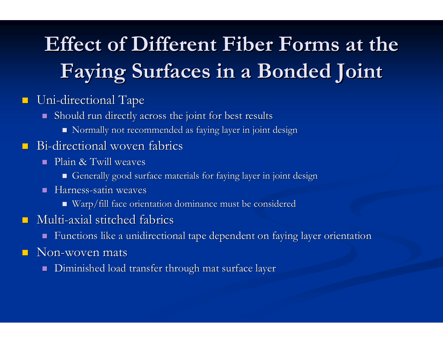#### $\blacksquare$  $\blacksquare$  Uni-directional Tape

- $\blacksquare$  Should run directly across the joint for best results
	- $\blacksquare$  Normally not recommended as faying layer in joint design

#### $\mathbb{R}^2$  $\blacksquare$  Bi-directional woven fabrics

- $\blacksquare$  Plain & Twill weaves
	- $\blacksquare$  Generally good surface materials for faying layer in joint design
- $\blacksquare$  Harness-satin weaves
	- Warp/fill face orientation dominance must be considered Warp/fill face orientation dominance must be considered

#### $\mathbb{R}^2$  $\blacksquare$  Multi-axial stitched fabrics

- п Functions like a unidirectional tape dependent on faying layer orientation
- $\mathbb{R}^2$ **Non-woven mats** 
	- П Diminished load transfer through mat surface layer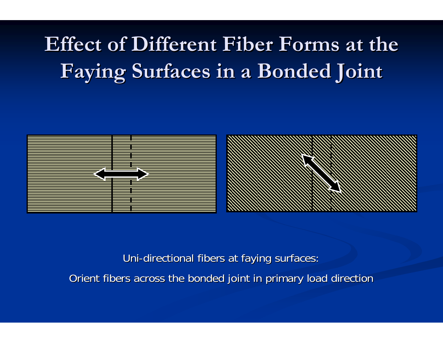



Uni-directional fibers at faying surfaces: Orient fibers across the bonded joint in primary load direction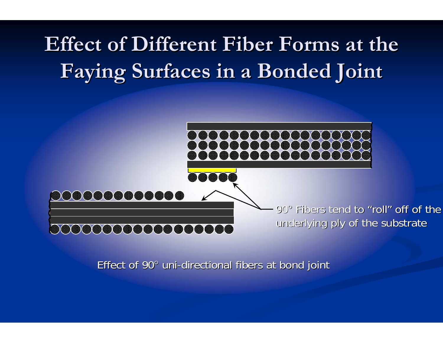

Effect of 90° uni-directional fibers at bond joint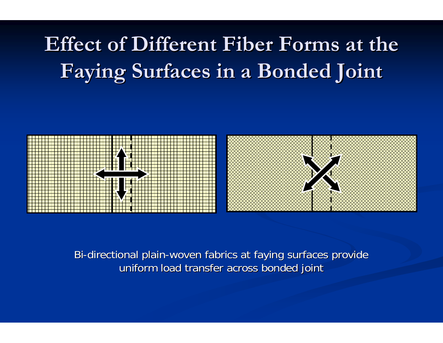

Bi-directional plain-woven fabrics at faying surfaces provide uniform load transfer across bonded joint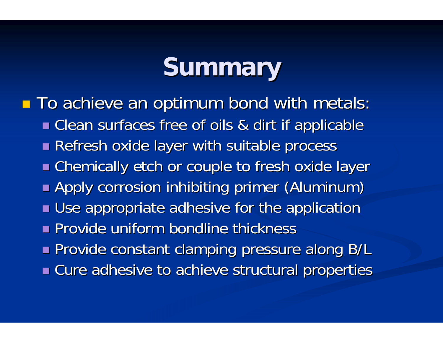### **Summary Summary**

■ To achieve an optimum bond with metals: Clean surfaces free of oils & dirt if applicable Clean surfaces free of oils & dirt if applicable Refresh oxide layer with suitable process Chemically etch or couple to fresh oxide layer Chemically etch or couple to fresh oxide layer **Apply corrosion inhibiting primer (Aluminum) Use appropriate adhesive for the application Provide uniform bondline thickness**  Provide constant clamping pressure along B/L Provide constant clamping pressure along B/L **E** Cure adhesive to achieve structural properties